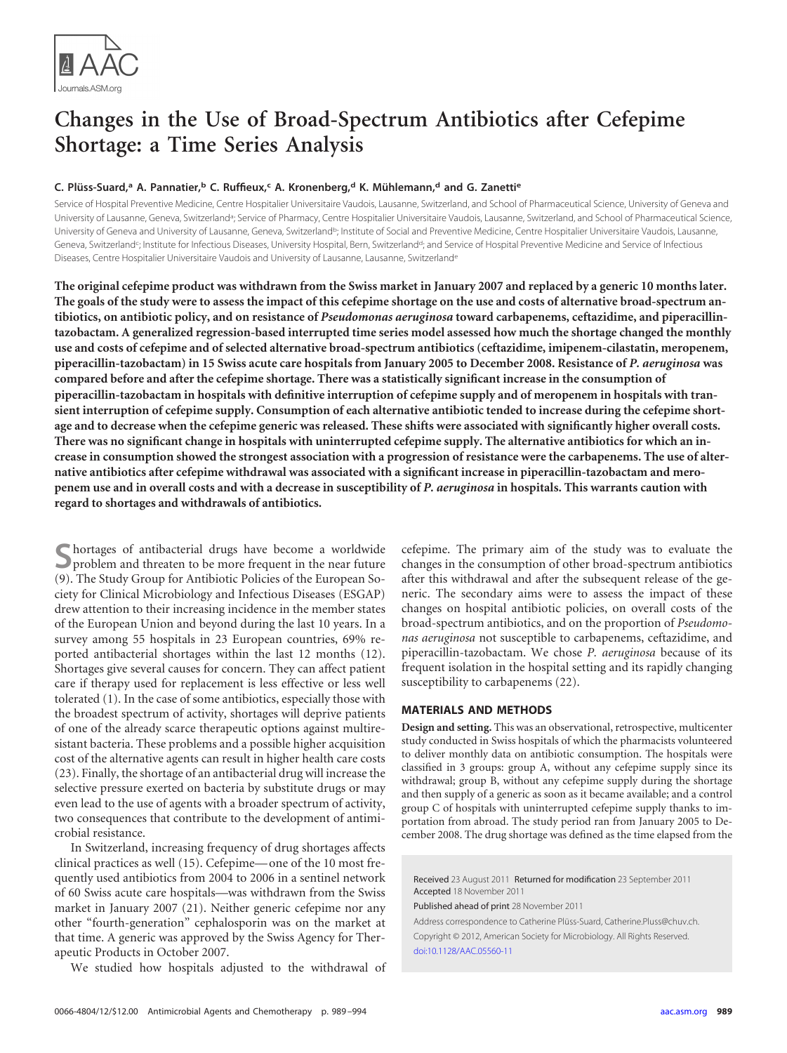

# **Changes in the Use of Broad-Spectrum Antibiotics after Cefepime Shortage: a Time Series Analysis**

## **C. Plüss-Suard, <sup>a</sup> A. Pannatier, <sup>b</sup> C. Ruffieux, <sup>c</sup> A. Kronenberg, <sup>d</sup> K. Mühlemann, <sup>d</sup> and G. Zanettie**

Service of Hospital Preventive Medicine, Centre Hospitalier Universitaire Vaudois, Lausanne, Switzerland, and School of Pharmaceutical Science, University of Geneva and University of Lausanne, Geneva, Switzerland<sup>a</sup>; Service of Pharmacy, Centre Hospitalier Universitaire Vaudois, Lausanne, Switzerland, and School of Pharmaceutical Science, University of Geneva and University of Lausanne, Geneva, Switzerlandb; Institute of Social and Preventive Medicine, Centre Hospitalier Universitaire Vaudois, Lausanne, Geneva, Switzerland<sup>c</sup>; Institute for Infectious Diseases, University Hospital, Bern, Switzerland<sup>d</sup>; and Service of Hospital Preventive Medicine and Service of Infectious Diseases, Centre Hospitalier Universitaire Vaudois and University of Lausanne, Lausanne, Switzerlande

**The original cefepime product was withdrawn from the Swiss market in January 2007 and replaced by a generic 10 months later. The goals of the study were to assess the impact of this cefepime shortage on the use and costs of alternative broad-spectrum antibiotics, on antibiotic policy, and on resistance of** *Pseudomonas aeruginosa* **toward carbapenems, ceftazidime, and piperacillintazobactam. A generalized regression-based interrupted time series model assessed how much the shortage changed the monthly use and costs of cefepime and of selected alternative broad-spectrum antibiotics (ceftazidime, imipenem-cilastatin, meropenem, piperacillin-tazobactam) in 15 Swiss acute care hospitals from January 2005 to December 2008. Resistance of** *P. aeruginosa* **was compared before and after the cefepime shortage. There was a statistically significant increase in the consumption of piperacillin-tazobactam in hospitals with definitive interruption of cefepime supply and of meropenem in hospitals with transient interruption of cefepime supply. Consumption of each alternative antibiotic tended to increase during the cefepime shortage and to decrease when the cefepime generic was released. These shifts were associated with significantly higher overall costs. There was no significant change in hospitals with uninterrupted cefepime supply. The alternative antibiotics for which an increase in consumption showed the strongest association with a progression of resistance were the carbapenems. The use of alternative antibiotics after cefepime withdrawal was associated with a significant increase in piperacillin-tazobactam and meropenem use and in overall costs and with a decrease in susceptibility of** *P. aeruginosa* **in hospitals. This warrants caution with regard to shortages and withdrawals of antibiotics.**

Shortages of antibacterial drugs have become a worldwide<br>problem and threaten to be more frequent in the near future [\(9\)](#page-4-0). The Study Group for Antibiotic Policies of the European Society for Clinical Microbiology and Infectious Diseases (ESGAP) drew attention to their increasing incidence in the member states of the European Union and beyond during the last 10 years. In a survey among 55 hospitals in 23 European countries, 69% reported antibacterial shortages within the last 12 months [\(12\)](#page-4-1). Shortages give several causes for concern. They can affect patient care if therapy used for replacement is less effective or less well tolerated [\(1\)](#page-4-2). In the case of some antibiotics, especially those with the broadest spectrum of activity, shortages will deprive patients of one of the already scarce therapeutic options against multiresistant bacteria. These problems and a possible higher acquisition cost of the alternative agents can result in higher health care costs [\(23\)](#page-5-0). Finally, the shortage of an antibacterial drug will increase the selective pressure exerted on bacteria by substitute drugs or may even lead to the use of agents with a broader spectrum of activity, two consequences that contribute to the development of antimicrobial resistance.

In Switzerland, increasing frequency of drug shortages affects clinical practices as well [\(15\)](#page-5-1). Cefepime— one of the 10 most frequently used antibiotics from 2004 to 2006 in a sentinel network of 60 Swiss acute care hospitals—was withdrawn from the Swiss market in January 2007 [\(21\)](#page-5-2). Neither generic cefepime nor any other "fourth-generation" cephalosporin was on the market at that time. A generic was approved by the Swiss Agency for Therapeutic Products in October 2007.

We studied how hospitals adjusted to the withdrawal of

cefepime. The primary aim of the study was to evaluate the changes in the consumption of other broad-spectrum antibiotics after this withdrawal and after the subsequent release of the generic. The secondary aims were to assess the impact of these changes on hospital antibiotic policies, on overall costs of the broad-spectrum antibiotics, and on the proportion of *Pseudomonas aeruginosa* not susceptible to carbapenems, ceftazidime, and piperacillin-tazobactam. We chose *P. aeruginosa* because of its frequent isolation in the hospital setting and its rapidly changing susceptibility to carbapenems [\(22\)](#page-5-3).

### **MATERIALS AND METHODS**

**Design and setting.** This was an observational, retrospective, multicenter study conducted in Swiss hospitals of which the pharmacists volunteered to deliver monthly data on antibiotic consumption. The hospitals were classified in 3 groups: group A, without any cefepime supply since its withdrawal; group B, without any cefepime supply during the shortage and then supply of a generic as soon as it became available; and a control group C of hospitals with uninterrupted cefepime supply thanks to importation from abroad. The study period ran from January 2005 to December 2008. The drug shortage was defined as the time elapsed from the

Received 23 August 2011 Returned for modification 23 September 2011 Accepted 18 November 2011

Published ahead of print 28 November 2011

Address correspondence to Catherine Plüss-Suard, Catherine.Pluss@chuv.ch. Copyright © 2012, American Society for Microbiology. All Rights Reserved. [doi:10.1128/AAC.05560-11](http://dx.doi.org/10.1128/AAC.05560-11)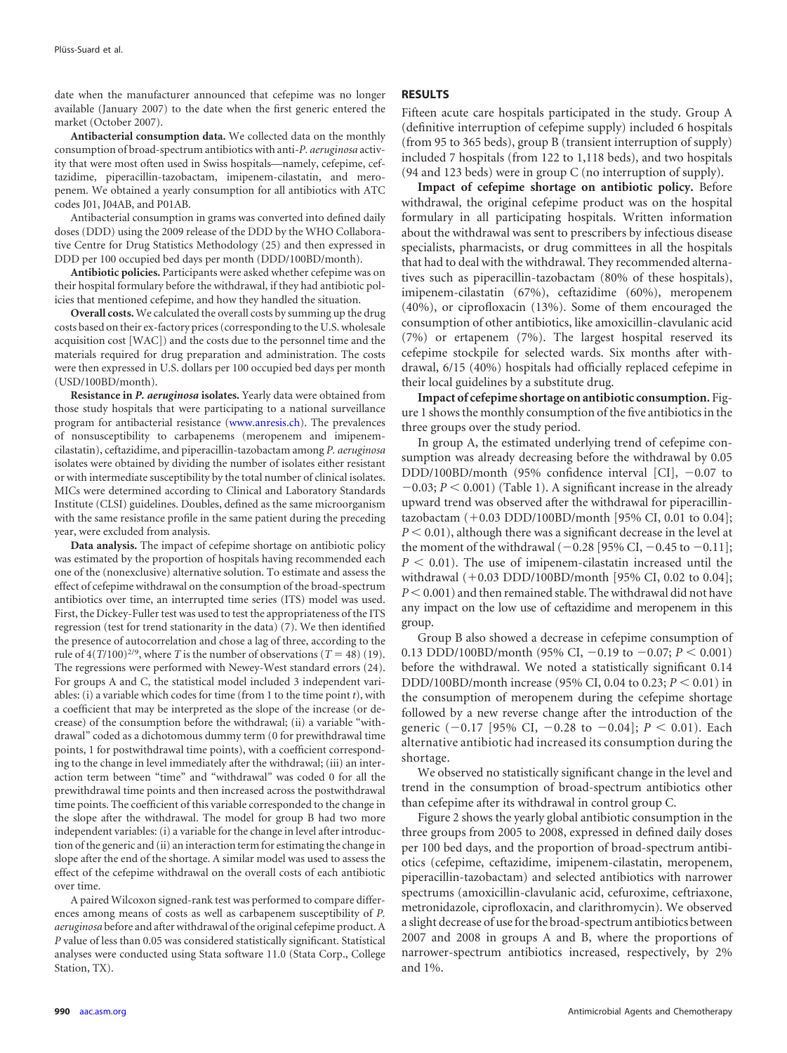date when the manufacturer announced that cefepime was no longer available (January 2007) to the date when the first generic entered the market (October 2007).

**Antibacterial consumption data.** We collected data on the monthly consumption of broad-spectrum antibiotics with anti-*P. aeruginosa* activity that were most often used in Swiss hospitals—namely, cefepime, ceftazidime, piperacillin-tazobactam, imipenem-cilastatin, and meropenem. We obtained a yearly consumption for all antibiotics with ATC codes J01, J04AB, and P01AB.

Antibacterial consumption in grams was converted into defined daily doses (DDD) using the 2009 release of the DDD by the WHO Collaborative Centre for Drug Statistics Methodology [\(25\)](#page-5-4) and then expressed in DDD per 100 occupied bed days per month (DDD/100BD/month).

**Antibiotic policies.** Participants were asked whether cefepime was on their hospital formulary before the withdrawal, if they had antibiotic policies that mentioned cefepime, and how they handled the situation.

**Overall costs.** We calculated the overall costs by summing up the drug costs based on their ex-factory prices (corresponding to the U.S. wholesale acquisition cost [WAC]) and the costs due to the personnel time and the materials required for drug preparation and administration. The costs were then expressed in U.S. dollars per 100 occupied bed days per month (USD/100BD/month).

**Resistance in** *P. aeruginosa* **isolates.** Yearly data were obtained from those study hospitals that were participating to a national surveillance program for antibacterial resistance (www.anresis.ch). The prevalences of nonsusceptibility to carbapenems (meropenem and imipenemcilastatin), ceftazidime, and piperacillin-tazobactam among *P. aeruginosa* isolates were obtained by dividing the number of isolates either resistant or with intermediate susceptibility by the total number of clinical isolates. MICs were determined according to Clinical and Laboratory Standards Institute (CLSI) guidelines. Doubles, defined as the same microorganism with the same resistance profile in the same patient during the preceding year, were excluded from analysis.

**Data analysis.** The impact of cefepime shortage on antibiotic policy was estimated by the proportion of hospitals having recommended each one of the (nonexclusive) alternative solution. To estimate and assess the effect of cefepime withdrawal on the consumption of the broad-spectrum antibiotics over time, an interrupted time series (ITS) model was used. First, the Dickey-Fuller test was used to test the appropriateness of the ITS regression (test for trend stationarity in the data) [\(7\)](#page-4-3). We then identified the presence of autocorrelation and chose a lag of three, according to the rule of  $4(T/100)^{2/9}$ , where *T* is the number of observations (*T* = 48) [\(19\)](#page-5-5). The regressions were performed with Newey-West standard errors [\(24\)](#page-5-6). For groups A and C, the statistical model included 3 independent variables: (i) a variable which codes for time (from 1 to the time point *t*), with a coefficient that may be interpreted as the slope of the increase (or decrease) of the consumption before the withdrawal; (ii) a variable "withdrawal" coded as a dichotomous dummy term (0 for prewithdrawal time points, 1 for postwithdrawal time points), with a coefficient corresponding to the change in level immediately after the withdrawal; (iii) an interaction term between "time" and "withdrawal" was coded 0 for all the prewithdrawal time points and then increased across the postwithdrawal time points. The coefficient of this variable corresponded to the change in the slope after the withdrawal. The model for group B had two more independent variables: (i) a variable for the change in level after introduction of the generic and (ii) an interaction term for estimating the change in slope after the end of the shortage. A similar model was used to assess the effect of the cefepime withdrawal on the overall costs of each antibiotic over time.

A paired Wilcoxon signed-rank test was performed to compare differences among means of costs as well as carbapenem susceptibility of *P. aeruginosa* before and after withdrawal of the original cefepime product. A *P* value of less than 0.05 was considered statistically significant. Statistical analyses were conducted using Stata software 11.0 (Stata Corp., College Station, TX).

#### **RESULTS**

Fifteen acute care hospitals participated in the study. Group A (definitive interruption of cefepime supply) included 6 hospitals (from 95 to 365 beds), group B (transient interruption of supply) included 7 hospitals (from 122 to 1,118 beds), and two hospitals (94 and 123 beds) were in group C (no interruption of supply).

**Impact of cefepime shortage on antibiotic policy.** Before withdrawal, the original cefepime product was on the hospital formulary in all participating hospitals. Written information about the withdrawal was sent to prescribers by infectious disease specialists, pharmacists, or drug committees in all the hospitals that had to deal with the withdrawal. They recommended alternatives such as piperacillin-tazobactam (80% of these hospitals), imipenem-cilastatin (67%), ceftazidime (60%), meropenem (40%), or ciprofloxacin (13%). Some of them encouraged the consumption of other antibiotics, like amoxicillin-clavulanic acid (7%) or ertapenem (7%). The largest hospital reserved its cefepime stockpile for selected wards. Six months after withdrawal, 6/15 (40%) hospitals had officially replaced cefepime in their local guidelines by a substitute drug.

**Impact of cefepime shortage on antibiotic consumption.** [Fig](#page-2-0)[ure 1](#page-2-0) shows the monthly consumption of the five antibiotics in the three groups over the study period.

In group A, the estimated underlying trend of cefepime consumption was already decreasing before the withdrawal by 0.05 DDD/100BD/month (95% confidence interval [CI],  $-0.07$  to  $-0.03; P < 0.001$ ) [\(Table 1\)](#page-3-0). A significant increase in the already upward trend was observed after the withdrawal for piperacillintazobactam  $(+0.03 \text{ DDD}/100 \text{BD}/\text{month}$  [95% CI, 0.01 to 0.04];  $P < 0.01$ ), although there was a significant decrease in the level at the moment of the withdrawal  $(-0.28 \, [95\% \, \text{CI}, -0.45 \, \text{to} \, -0.11];$  $P < 0.01$ ). The use of imipenem-cilastatin increased until the withdrawal  $(+0.03 \text{ DDD}/100 \text{BD}/\text{month}$  [95% CI, 0.02 to 0.04];  $P < 0.001$ ) and then remained stable. The withdrawal did not have any impact on the low use of ceftazidime and meropenem in this group.

Group B also showed a decrease in cefepime consumption of 0.13 DDD/100BD/month (95% CI,  $-0.19$  to  $-0.07; P < 0.001$ ) before the withdrawal. We noted a statistically significant 0.14 DDD/100BD/month increase (95% CI, 0.04 to 0.23;  $P < 0.01$ ) in the consumption of meropenem during the cefepime shortage followed by a new reverse change after the introduction of the generic (-0.17 [95% CI, -0.28 to -0.04];  $P < 0.01$ ). Each alternative antibiotic had increased its consumption during the shortage.

We observed no statistically significant change in the level and trend in the consumption of broad-spectrum antibiotics other than cefepime after its withdrawal in control group C.

[Figure 2](#page-3-1) shows the yearly global antibiotic consumption in the three groups from 2005 to 2008, expressed in defined daily doses per 100 bed days, and the proportion of broad-spectrum antibiotics (cefepime, ceftazidime, imipenem-cilastatin, meropenem, piperacillin-tazobactam) and selected antibiotics with narrower spectrums (amoxicillin-clavulanic acid, cefuroxime, ceftriaxone, metronidazole, ciprofloxacin, and clarithromycin). We observed a slight decrease of use for the broad-spectrum antibiotics between 2007 and 2008 in groups A and B, where the proportions of narrower-spectrum antibiotics increased, respectively, by 2% and 1%.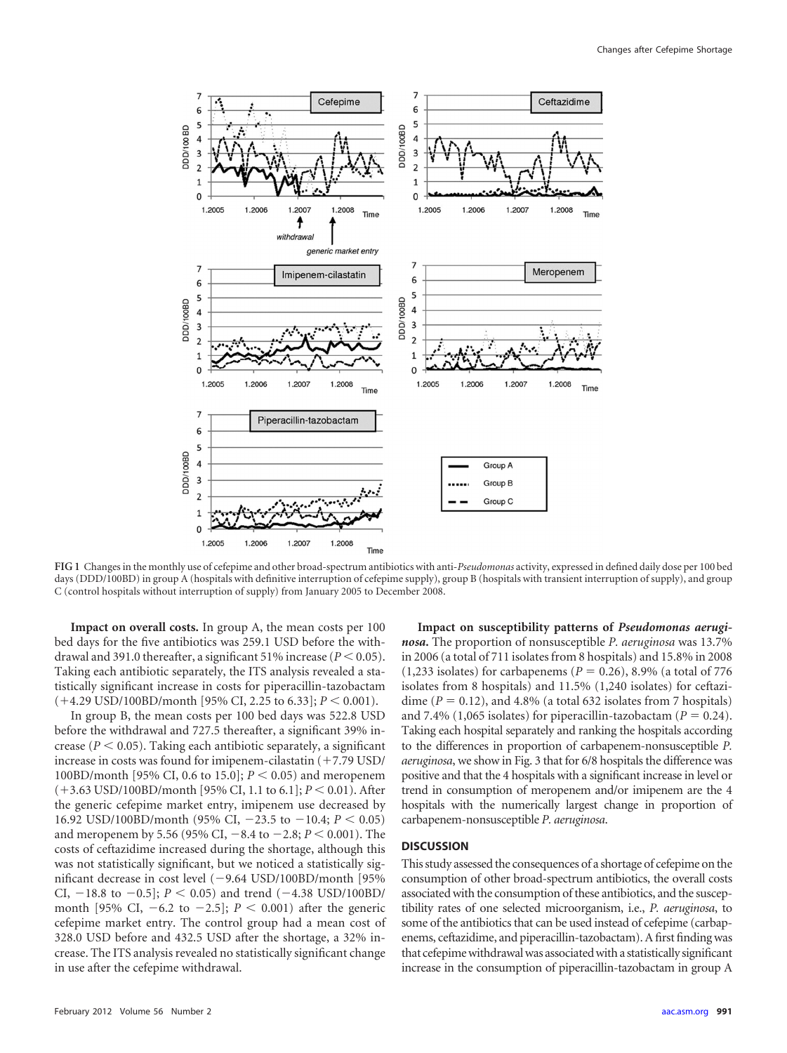

<span id="page-2-0"></span>**FIG 1** Changes in the monthly use of cefepime and other broad-spectrum antibiotics with anti-*Pseudomonas* activity, expressed in defined daily dose per 100 bed days (DDD/100BD) in group A (hospitals with definitive interruption of cefepime supply), group B (hospitals with transient interruption of supply), and group C (control hospitals without interruption of supply) from January 2005 to December 2008.

**Impact on overall costs.** In group A, the mean costs per 100 bed days for the five antibiotics was 259.1 USD before the withdrawal and 391.0 thereafter, a significant 51% increase  $(P < 0.05)$ . Taking each antibiotic separately, the ITS analysis revealed a statistically significant increase in costs for piperacillin-tazobactam  $(+4.29 \text{ USD}/100 \text{BD}/\text{month}$  [95% CI, 2.25 to 6.33];  $P < 0.001$ ).

In group B, the mean costs per 100 bed days was 522.8 USD before the withdrawal and 727.5 thereafter, a significant 39% increase  $(P < 0.05)$ . Taking each antibiotic separately, a significant increase in costs was found for imipenem-cilastatin  $(+7.79 \text{ USD}/$ 100BD/month [95% CI, 0.6 to 15.0];  $P < 0.05$  and meropenem  $(+3.63$  USD/100BD/month [95% CI, 1.1 to 6.1];  $P < 0.01$ ). After the generic cefepime market entry, imipenem use decreased by 16.92 USD/100BD/month (95% CI,  $-23.5$  to  $-10.4$ ;  $P < 0.05$ ) and meropenem by 5.56 (95% CI,  $-8.4$  to  $-2.8; P < 0.001$ ). The costs of ceftazidime increased during the shortage, although this was not statistically significant, but we noticed a statistically significant decrease in cost level (-9.64 USD/100BD/month [95% CI,  $-18.8$  to  $-0.5$ ;  $P < 0.05$ ) and trend  $(-4.38 \text{ USD}/100 \text{BD}/100 \text{BD})$ month [95% CI,  $-6.2$  to  $-2.5$ ];  $P < 0.001$ ) after the generic cefepime market entry. The control group had a mean cost of 328.0 USD before and 432.5 USD after the shortage, a 32% increase. The ITS analysis revealed no statistically significant change in use after the cefepime withdrawal.

**Impact on susceptibility patterns of** *Pseudomonas aeruginosa***.** The proportion of nonsusceptible *P. aeruginosa* was 13.7% in 2006 (a total of 711 isolates from 8 hospitals) and 15.8% in 2008  $(1,233 \text{ isolates})$  for carbapenems  $(P = 0.26)$ , 8.9% (a total of 776) isolates from 8 hospitals) and 11.5% (1,240 isolates) for ceftazidime  $(P = 0.12)$ , and 4.8% (a total 632 isolates from 7 hospitals) and 7.4% (1,065 isolates) for piperacillin-tazobactam ( $P = 0.24$ ). Taking each hospital separately and ranking the hospitals according to the differences in proportion of carbapenem-nonsusceptible *P. aeruginosa*, we show in [Fig. 3](#page-3-2) that for 6/8 hospitals the difference was positive and that the 4 hospitals with a significant increase in level or trend in consumption of meropenem and/or imipenem are the 4 hospitals with the numerically largest change in proportion of carbapenem-nonsusceptible *P. aeruginosa*.

### **DISCUSSION**

This study assessed the consequences of a shortage of cefepime on the consumption of other broad-spectrum antibiotics, the overall costs associated with the consumption of these antibiotics, and the susceptibility rates of one selected microorganism, i.e., *P. aeruginosa*, to some of the antibiotics that can be used instead of cefepime (carbapenems, ceftazidime, and piperacillin-tazobactam). A first finding was that cefepime withdrawal was associated with a statistically significant increase in the consumption of piperacillin-tazobactam in group A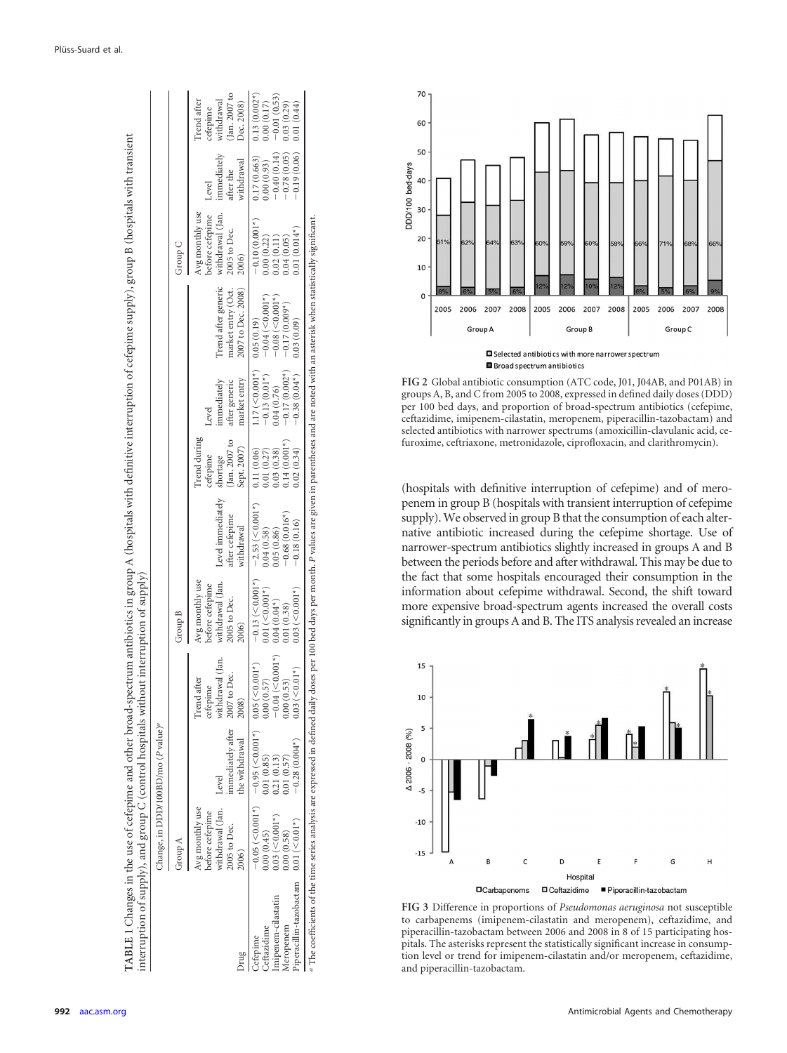|                                                                                                                                                                                                                |                                                                                              | Thange, in DDD/100BD/mo (P value) <sup>a</sup>                                                                        |                                                                                |                                                                                         |                                                                                                         |                                                                        |                                                                                                    |                                                                           |                                                                                 |                                                                                                             |                                                                                                            |
|----------------------------------------------------------------------------------------------------------------------------------------------------------------------------------------------------------------|----------------------------------------------------------------------------------------------|-----------------------------------------------------------------------------------------------------------------------|--------------------------------------------------------------------------------|-----------------------------------------------------------------------------------------|---------------------------------------------------------------------------------------------------------|------------------------------------------------------------------------|----------------------------------------------------------------------------------------------------|---------------------------------------------------------------------------|---------------------------------------------------------------------------------|-------------------------------------------------------------------------------------------------------------|------------------------------------------------------------------------------------------------------------|
|                                                                                                                                                                                                                | Group A                                                                                      |                                                                                                                       |                                                                                | Group B                                                                                 |                                                                                                         |                                                                        |                                                                                                    |                                                                           | Group C                                                                         |                                                                                                             |                                                                                                            |
| gmr                                                                                                                                                                                                            | withdrawal (Jan. Level<br>Avg monthly use<br>before cefepime<br>2005 to Dec.<br><b>(900;</b> | immediately after<br>the withdrawal                                                                                   | withdrawal (Jan.<br>2007 to Dec.<br>Trend after<br>cefepime<br>2008)           | withdrawal (Jan.<br>Avg monthly use<br>before cefepime<br>2005 to Dec.<br>2006)         | Level immediately<br>after cefepime<br>withdrawal                                                       | Trend during<br>(Jan. 2007 to<br>Sept. 2007)<br>cefepime<br>shortage   | market entry<br>immediately<br>after generic<br>Level                                              | Trend after generic<br>market entry (Oct.<br>2007 to Dec. 2008)           | withdrawal (Jan.<br>before cefepime<br>Avg monthly use<br>2005 to Dec.<br>2006) | immediately<br>withdrawal<br>after the<br>Level                                                             | Jan. 2007 to<br>withdrawal<br>Irend after<br>Dec. 2008)<br>zefepime                                        |
| iperacillin-tazobactam 0.01 (<0.01*)<br>mipenem-cilastatin<br>Aeropenem<br>eftazidime<br>efepime                                                                                                               | $0.03$ (< $0.001*$ )<br>0.00(0.45)<br>0.00(0.58)                                             | $-0.05 \le 0.001$ *) $-0.95 \le 0.01$ *) $0.05 \le 0.05$<br>$-0.28(0.004*)$<br>0.01(0.57)<br>0.01(0.85)<br>0.21(0.13) | $-0.04$ (<0.001*)<br>(10.001)<br>(1)<br>(0.57)<br>0.00(0.53)<br>0.00(<br>0.03( | $0.03$ (< $0.001*$ )<br>$0.01$ (< $0.001$ <sup>*</sup> )<br>$0.04(0.04*)$<br>0.01(0.38) | $-0.13$ (<0.001*) $-2.53$ (<0.001*)<br>$-0.68(0.016*)$<br>$-0.18(0.16)$<br>$0.04(0.58)$<br>$0.05(0.86)$ | $0.14(0.001*)$<br>0.11(0.06)<br>0.02(0.34)<br>0.01(0.27)<br>0.03(0.38) | $1.17 \, (\leq 0.001^*)$ 0.05 (0.19)<br>$-0.38(0.04*)$ 0.03 (0.09)<br>$-0.13(0.01*)$<br>0.04(0.76) | $-0.04 (-0.001*)$<br>$-0.08 (-0.001*)$<br>$-0.17(0.002*)$ $-0.17(0.009*)$ | $-0.10(0.001*)$<br>$0.01(0.014*)$<br>0.04(0.05)<br>0.00(0.22)<br>0.02(0.11)     | $-0.19(0.06)$<br>$\begin{array}{c} 0.00~(0.93) \\ -0.40~(0.14) \end{array}$<br>$-0.78(0.05)$<br>0.17(0.663) | $0.13(0.002*)$<br>$\begin{array}{c} 0.00\ (0.17) \\ -0.01\ (0.53) \end{array}$<br>0.01(0.44)<br>0.03(0.29) |
| The coefficients of the time series analysis are expressed in defined daily doses per 100 bed days per month. P values are given in parentheses and are noted with an asterisk when statistically significant. |                                                                                              |                                                                                                                       |                                                                                |                                                                                         |                                                                                                         |                                                                        |                                                                                                    |                                                                           |                                                                                 |                                                                                                             |                                                                                                            |

 $\mathbf{L}$ 



Broad spectrum antibiotics

<span id="page-3-1"></span>**FIG 2** Global antibiotic consumption (ATC code, J01, J04AB, and P01AB) in groups A, B, and C from 2005 to 2008, expressed in defined daily doses (DDD) per 100 bed days, and proportion of broad-spectrum antibiotics (cefepime, ceftazidime, imipenem-cilastatin, meropenem, piperacillin-tazobactam) and selected antibiotics with narrower spectrums (amoxicillin-clavulanic acid, cefuroxime, ceftriaxone, metronidazole, ciprofloxacin, and clarithromycin).

(hospitals with definitive interruption of cefepime) and of meropenem in group B (hospitals with transient interruption of cefepime supply). We observed in group B that the consumption of each alternative antibiotic increased during the cefepime shortage. Use of narrower-spectrum antibiotics slightly increased in groups A and B between the periods before and after withdrawal. This may be due to the fact that some hospitals encouraged their consumption in the information about cefepime withdrawal. Second, the shift toward more expensive broad-spectrum agents increased the overall costs significantly in groups A and B. The ITS analysis revealed an increase



<span id="page-3-2"></span><span id="page-3-0"></span>**FIG 3** Difference in proportions of *Pseudomonas aeruginosa* not susceptible to carbapenems (imipenem-cilastatin and meropenem), ceftazidime, and piperacillin-tazobactam between 2006 and 2008 in 8 of 15 participating hospitals. The asterisks represent the statistically significant increase in consumption level or trend for imipenem-cilastatin and/or meropenem, ceftazidime, and piperacillin-tazobactam.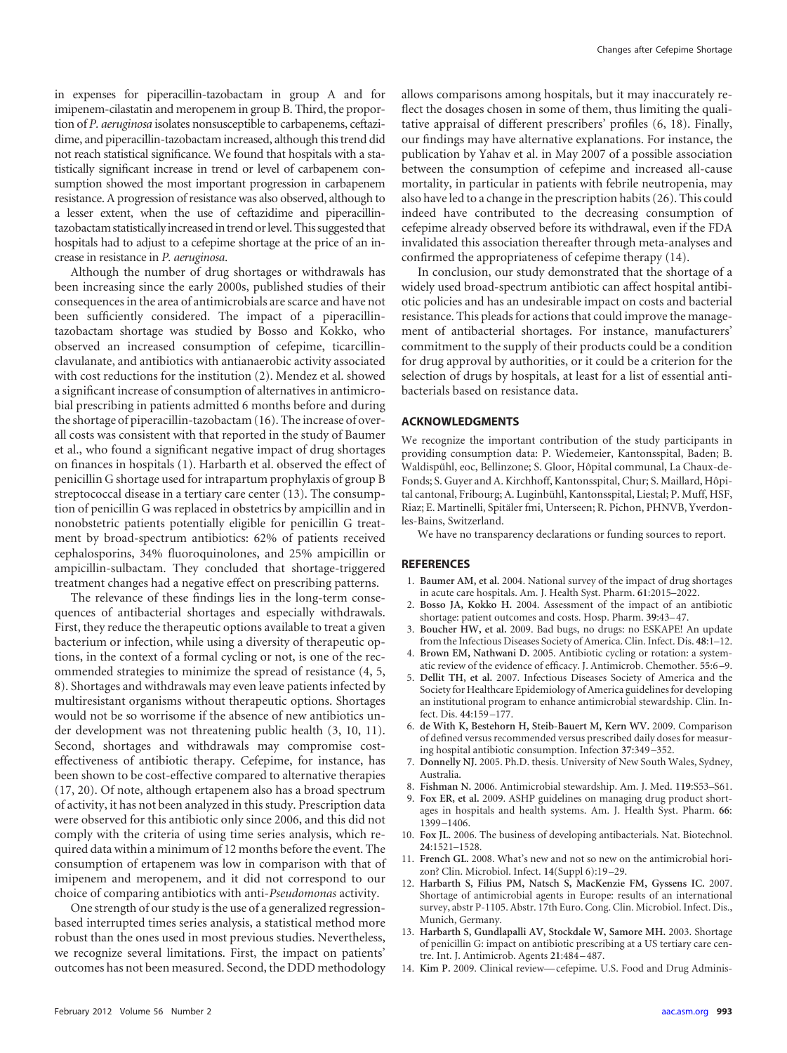in expenses for piperacillin-tazobactam in group A and for imipenem-cilastatin and meropenem in group B. Third, the proportion of *P. aeruginosa* isolates nonsusceptible to carbapenems, ceftazidime, and piperacillin-tazobactam increased, although this trend did not reach statistical significance. We found that hospitals with a statistically significant increase in trend or level of carbapenem consumption showed the most important progression in carbapenem resistance. A progression of resistance was also observed, although to a lesser extent, when the use of ceftazidime and piperacillintazobactam statistically increased in trend or level. This suggested that hospitals had to adjust to a cefepime shortage at the price of an increase in resistance in *P. aeruginosa*.

Although the number of drug shortages or withdrawals has been increasing since the early 2000s, published studies of their consequences in the area of antimicrobials are scarce and have not been sufficiently considered. The impact of a piperacillintazobactam shortage was studied by Bosso and Kokko, who observed an increased consumption of cefepime, ticarcillinclavulanate, and antibiotics with antianaerobic activity associated with cost reductions for the institution [\(2\)](#page-4-4). Mendez et al. showed a significant increase of consumption of alternatives in antimicrobial prescribing in patients admitted 6 months before and during the shortage of piperacillin-tazobactam [\(16\)](#page-5-7). The increase of overall costs was consistent with that reported in the study of Baumer et al., who found a significant negative impact of drug shortages on finances in hospitals [\(1\)](#page-4-2). Harbarth et al. observed the effect of penicillin G shortage used for intrapartum prophylaxis of group B streptococcal disease in a tertiary care center [\(13\)](#page-4-5). The consumption of penicillin G was replaced in obstetrics by ampicillin and in nonobstetric patients potentially eligible for penicillin G treatment by broad-spectrum antibiotics: 62% of patients received cephalosporins, 34% fluoroquinolones, and 25% ampicillin or ampicillin-sulbactam. They concluded that shortage-triggered treatment changes had a negative effect on prescribing patterns.

The relevance of these findings lies in the long-term consequences of antibacterial shortages and especially withdrawals. First, they reduce the therapeutic options available to treat a given bacterium or infection, while using a diversity of therapeutic options, in the context of a formal cycling or not, is one of the recommended strategies to minimize the spread of resistance [\(4,](#page-4-6) [5,](#page-4-7) [8\)](#page-4-8). Shortages and withdrawals may even leave patients infected by multiresistant organisms without therapeutic options. Shortages would not be so worrisome if the absence of new antibiotics under development was not threatening public health [\(3,](#page-4-9) [10,](#page-4-10) [11\)](#page-4-11). Second, shortages and withdrawals may compromise costeffectiveness of antibiotic therapy. Cefepime, for instance, has been shown to be cost-effective compared to alternative therapies [\(17,](#page-5-8) [20\)](#page-5-9). Of note, although ertapenem also has a broad spectrum of activity, it has not been analyzed in this study. Prescription data were observed for this antibiotic only since 2006, and this did not comply with the criteria of using time series analysis, which required data within a minimum of 12 months before the event. The consumption of ertapenem was low in comparison with that of imipenem and meropenem, and it did not correspond to our choice of comparing antibiotics with anti-*Pseudomonas* activity.

One strength of our study is the use of a generalized regressionbased interrupted times series analysis, a statistical method more robust than the ones used in most previous studies. Nevertheless, we recognize several limitations. First, the impact on patients' outcomes has not been measured. Second, the DDD methodology

allows comparisons among hospitals, but it may inaccurately reflect the dosages chosen in some of them, thus limiting the qualitative appraisal of different prescribers' profiles [\(6,](#page-4-12) [18\)](#page-5-10). Finally, our findings may have alternative explanations. For instance, the publication by Yahav et al. in May 2007 of a possible association between the consumption of cefepime and increased all-cause mortality, in particular in patients with febrile neutropenia, may also have led to a change in the prescription habits [\(26\)](#page-5-11). This could indeed have contributed to the decreasing consumption of cefepime already observed before its withdrawal, even if the FDA invalidated this association thereafter through meta-analyses and confirmed the appropriateness of cefepime therapy [\(14\)](#page-4-13).

In conclusion, our study demonstrated that the shortage of a widely used broad-spectrum antibiotic can affect hospital antibiotic policies and has an undesirable impact on costs and bacterial resistance. This pleads for actions that could improve the management of antibacterial shortages. For instance, manufacturers' commitment to the supply of their products could be a condition for drug approval by authorities, or it could be a criterion for the selection of drugs by hospitals, at least for a list of essential antibacterials based on resistance data.

#### **ACKNOWLEDGMENTS**

We recognize the important contribution of the study participants in providing consumption data: P. Wiedemeier, Kantonsspital, Baden; B. Waldispühl, eoc, Bellinzone; S. Gloor, Hôpital communal, La Chaux-de-Fonds; S. Guyer and A. Kirchhoff, Kantonsspital, Chur; S. Maillard, Hôpital cantonal, Fribourg; A. Luginbühl, Kantonsspital, Liestal; P. Muff, HSF, Riaz; E. Martinelli, Spitäler fmi, Unterseen; R. Pichon, PHNVB, Yverdonles-Bains, Switzerland.

We have no transparency declarations or funding sources to report.

#### <span id="page-4-2"></span>**REFERENCES**

- 1. **Baumer AM, et al.** 2004. National survey of the impact of drug shortages in acute care hospitals. Am. J. Health Syst. Pharm. **61**:2015–2022.
- <span id="page-4-4"></span>2. **Bosso JA, Kokko H.** 2004. Assessment of the impact of an antibiotic shortage: patient outcomes and costs. Hosp. Pharm. **39**:43– 47.
- <span id="page-4-9"></span>3. **Boucher HW, et al.** 2009. Bad bugs, no drugs: no ESKAPE! An update from the Infectious Diseases Society of America. Clin. Infect. Dis. **48**:1–12.
- <span id="page-4-6"></span>4. **Brown EM, Nathwani D.** 2005. Antibiotic cycling or rotation: a systematic review of the evidence of efficacy. J. Antimicrob. Chemother. **55**:6 –9.
- <span id="page-4-7"></span>5. **Dellit TH, et al.** 2007. Infectious Diseases Society of America and the Society for Healthcare Epidemiology of America guidelines for developing an institutional program to enhance antimicrobial stewardship. Clin. Infect. Dis. **44**:159 –177.
- <span id="page-4-12"></span>6. **de With K, Bestehorn H, Steib-Bauert M, Kern WV.** 2009. Comparison of defined versus recommended versus prescribed daily doses for measuring hospital antibiotic consumption. Infection **37**:349 –352.
- <span id="page-4-3"></span>7. **Donnelly NJ.** 2005. Ph.D. thesis. University of New South Wales, Sydney, Australia.
- <span id="page-4-8"></span><span id="page-4-0"></span>8. **Fishman N.** 2006. Antimicrobial stewardship. Am. J. Med. **119**:S53–S61.
- 9. **Fox ER, et al.** 2009. ASHP guidelines on managing drug product shortages in hospitals and health systems. Am. J. Health Syst. Pharm. **66**: 1399 –1406.
- <span id="page-4-10"></span>10. **Fox JL.** 2006. The business of developing antibacterials. Nat. Biotechnol. **24**:1521–1528.
- <span id="page-4-11"></span>11. **French GL.** 2008. What's new and not so new on the antimicrobial horizon? Clin. Microbiol. Infect. **14**(Suppl 6):19 –29.
- <span id="page-4-1"></span>12. **Harbarth S, Filius PM, Natsch S, MacKenzie FM, Gyssens IC.** 2007. Shortage of antimicrobial agents in Europe: results of an international survey, abstr P-1105. Abstr. 17th Euro. Cong. Clin. Microbiol. Infect. Dis., Munich, Germany.
- <span id="page-4-5"></span>13. **Harbarth S, Gundlapalli AV, Stockdale W, Samore MH.** 2003. Shortage of penicillin G: impact on antibiotic prescribing at a US tertiary care centre. Int. J. Antimicrob. Agents **21**:484 – 487.
- <span id="page-4-13"></span>14. **Kim P.** 2009. Clinical review— cefepime. U.S. Food and Drug Adminis-